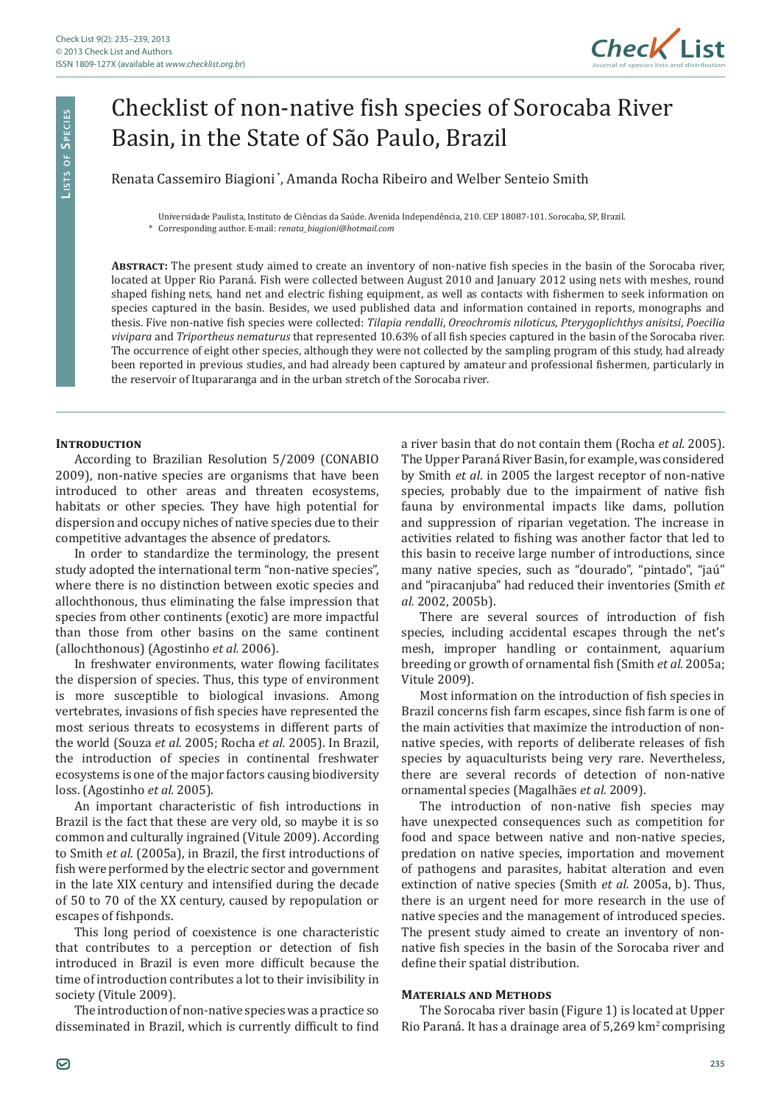

# Checklist of non-native fish species of Sorocaba River Basin, in the State of São Paulo, Brazil

Renata Cassemiro Biagioni \*, Amanda Rocha Ribeiro and Welber Senteio Smith

#### Universidade Paulista, Instituto de Ciências da Saúde. Avenida Independência, 210. CEP 18087-101. Sorocaba, SP, Brazil.

\* Corresponding author. E-mail: *renata\_biagioni@hotmail.com*

**Abstract:** The present study aimed to create an inventory of non-native fish species in the basin of the Sorocaba river, located at Upper Rio Paraná. Fish were collected between August 2010 and January 2012 using nets with meshes, round shaped fishing nets, hand net and electric fishing equipment, as well as contacts with fishermen to seek information on species captured in the basin. Besides, we used published data and information contained in reports, monographs and thesis. Five non-native fish species were collected: *Tilapia rendalli*, *Oreochromis niloticus*, *Pterygoplichthys anisitsi*, *Poecilia vivipara* and *Triportheus nematurus* that represented 10.63% of all fish species captured in the basin of the Sorocaba river. The occurrence of eight other species, although they were not collected by the sampling program of this study, had already been reported in previous studies, and had already been captured by amateur and professional fishermen, particularly in the reservoir of Itupararanga and in the urban stretch of the Sorocaba river.

## **INTRODUCTION**

According to Brazilian Resolution 5/2009 (CONABIO 2009), non-native species are organisms that have been introduced to other areas and threaten ecosystems, habitats or other species. They have high potential for dispersion and occupy niches of native species due to their competitive advantages the absence of predators.

In order to standardize the terminology, the present study adopted the international term "non-native species", where there is no distinction between exotic species and allochthonous, thus eliminating the false impression that species from other continents (exotic) are more impactful than those from other basins on the same continent (allochthonous) (Agostinho *et al.* 2006).

In freshwater environments, water flowing facilitates the dispersion of species. Thus, this type of environment is more susceptible to biological invasions. Among vertebrates, invasions of fish species have represented the most serious threats to ecosystems in different parts of the world (Souza *et al.* 2005; Rocha *et al.* 2005). In Brazil, the introduction of species in continental freshwater ecosystems is one of the major factors causing biodiversity loss. (Agostinho *et al.* 2005).

An important characteristic of fish introductions in Brazil is the fact that these are very old, so maybe it is so common and culturally ingrained (Vitule 2009). According to Smith *et al.* (2005a), in Brazil, the first introductions of fish were performed by the electric sector and government in the late XIX century and intensified during the decade of 50 to 70 of the XX century, caused by repopulation or escapes of fishponds.

This long period of coexistence is one characteristic that contributes to a perception or detection of fish introduced in Brazil is even more difficult because the time of introduction contributes a lot to their invisibility in society (Vitule 2009).

The introduction of non-native species was a practice so disseminated in Brazil, which is currently difficult to find a river basin that do not contain them (Rocha *et al.* 2005). The Upper Paraná River Basin, for example, was considered by Smith *et al*. in 2005 the largest receptor of non-native species, probably due to the impairment of native fish fauna by environmental impacts like dams, pollution and suppression of riparian vegetation. The increase in activities related to fishing was another factor that led to this basin to receive large number of introductions, since many native species, such as "dourado", "pintado", "jaú" and "piracanjuba" had reduced their inventories (Smith *et al.* 2002, 2005b).

There are several sources of introduction of fish species, including accidental escapes through the net's mesh, improper handling or containment, aquarium breeding or growth of ornamental fish (Smith *et al.* 2005a; Vitule 2009).

Most information on the introduction of fish species in Brazil concerns fish farm escapes, since fish farm is one of the main activities that maximize the introduction of nonnative species, with reports of deliberate releases of fish species by aquaculturists being very rare. Nevertheless, there are several records of detection of non-native ornamental species (Magalhães *et al.* 2009).

The introduction of non-native fish species may have unexpected consequences such as competition for food and space between native and non-native species, predation on native species, importation and movement of pathogens and parasites, habitat alteration and even extinction of native species (Smith *et al.* 2005a, b). Thus, there is an urgent need for more research in the use of native species and the management of introduced species. The present study aimed to create an inventory of nonnative fish species in the basin of the Sorocaba river and define their spatial distribution.

### **Materials and Methods**

The Sorocaba river basin (Figure 1) is located at Upper Rio Paraná. It has a drainage area of 5,269 km2 comprising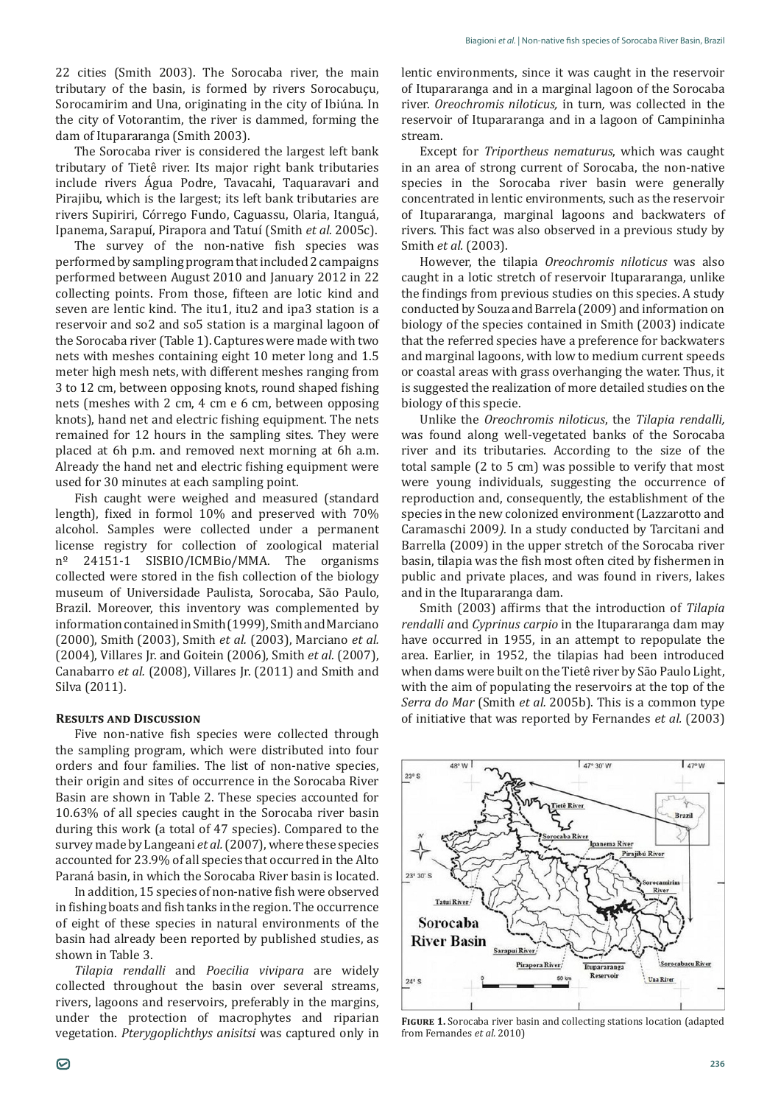22 cities (Smith 2003). The Sorocaba river, the main tributary of the basin, is formed by rivers Sorocabuçu, Sorocamirim and Una, originating in the city of Ibiúna. In the city of Votorantim, the river is dammed, forming the dam of Itupararanga (Smith 2003).

The Sorocaba river is considered the largest left bank tributary of Tietê river. Its major right bank tributaries include rivers Água Podre, Tavacahi, Taquaravari and Pirajibu, which is the largest; its left bank tributaries are rivers Supiriri, Córrego Fundo, Caguassu, Olaria, Itanguá, Ipanema, Sarapuí, Pirapora and Tatuí (Smith *et al.* 2005c).

The survey of the non-native fish species was performed by sampling program that included 2 campaigns performed between August 2010 and January 2012 in 22 collecting points. From those, fifteen are lotic kind and seven are lentic kind. The itu1, itu2 and ipa3 station is a reservoir and so2 and so5 station is a marginal lagoon of the Sorocaba river (Table 1). Captures were made with two nets with meshes containing eight 10 meter long and 1.5 meter high mesh nets, with different meshes ranging from 3 to 12 cm, between opposing knots, round shaped fishing nets (meshes with 2 cm, 4 cm e 6 cm, between opposing knots), hand net and electric fishing equipment. The nets remained for 12 hours in the sampling sites. They were placed at 6h p.m. and removed next morning at 6h a.m. Already the hand net and electric fishing equipment were used for 30 minutes at each sampling point.

Fish caught were weighed and measured (standard length), fixed in formol 10% and preserved with 70% alcohol. Samples were collected under a permanent license registry for collection of zoological material nº 24151-1 SISBIO/ICMBio/MMA. The organisms collected were stored in the fish collection of the biology museum of Universidade Paulista, Sorocaba, São Paulo, Brazil. Moreover, this inventory was complemented by information contained in Smith (1999), Smith and Marciano (2000), Smith (2003), Smith *et al.* (2003), Marciano *et al.*  (2004), Villares Jr. and Goitein (2006), Smith *et al.* (2007), Canabarro *et al.* (2008), Villares Jr. (2011) and Smith and Silva (2011).

### **Results and Discussion**

Five non-native fish species were collected through the sampling program, which were distributed into four orders and four families. The list of non-native species, their origin and sites of occurrence in the Sorocaba River Basin are shown in Table 2. These species accounted for 10.63% of all species caught in the Sorocaba river basin during this work (a total of 47 species). Compared to the survey made by Langeani *et al.* (2007), where these species accounted for 23.9% of all species that occurred in the Alto Paraná basin, in which the Sorocaba River basin is located.

In addition, 15 species of non-native fish were observed in fishing boats and fish tanks in the region. The occurrence of eight of these species in natural environments of the basin had already been reported by published studies, as shown in Table 3.

*Tilapia rendalli* and *Poecilia vivipara* are widely collected throughout the basin over several streams, rivers, lagoons and reservoirs, preferably in the margins, under the protection of macrophytes and riparian vegetation. *Pterygoplichthys anisitsi* was captured only in lentic environments, since it was caught in the reservoir of Itupararanga and in a marginal lagoon of the Sorocaba river. *Oreochromis niloticus,* in turn*,* was collected in the reservoir of Itupararanga and in a lagoon of Campininha stream.

Except for *Triportheus nematurus*, which was caught in an area of strong current of Sorocaba, the non-native species in the Sorocaba river basin were generally concentrated in lentic environments, such as the reservoir of Itupararanga, marginal lagoons and backwaters of rivers. This fact was also observed in a previous study by Smith *et al.* (2003).

However, the tilapia *Oreochromis niloticus* was also caught in a lotic stretch of reservoir Itupararanga, unlike the findings from previous studies on this species. A study conducted by Souza and Barrela (2009) and information on biology of the species contained in Smith (2003) indicate that the referred species have a preference for backwaters and marginal lagoons, with low to medium current speeds or coastal areas with grass overhanging the water. Thus, it is suggested the realization of more detailed studies on the biology of this specie.

Unlike the *Oreochromis niloticus*, the *Tilapia rendalli,*  was found along well-vegetated banks of the Sorocaba river and its tributaries. According to the size of the total sample (2 to 5 cm) was possible to verify that most were young individuals, suggesting the occurrence of reproduction and, consequently, the establishment of the species in the new colonized environment (Lazzarotto and Caramaschi 2009*).* In a study conducted by Tarcitani and Barrella (2009) in the upper stretch of the Sorocaba river basin, tilapia was the fish most often cited by fishermen in public and private places, and was found in rivers, lakes and in the Itupararanga dam.

Smith (2003) affirms that the introduction of *Tilapia rendalli a*nd *Cyprinus carpio* in the Itupararanga dam may have occurred in 1955, in an attempt to repopulate the area. Earlier, in 1952, the tilapias had been introduced when dams were built on the Tietê river by São Paulo Light, with the aim of populating the reservoirs at the top of the *Serra do Mar* (Smith *et al.* 2005b). This is a common type of initiative that was reported by Fernandes *et al.* (2003)



**Figure 1.** Sorocaba river basin and collecting stations location (adapted from Fernandes *et al.* 2010)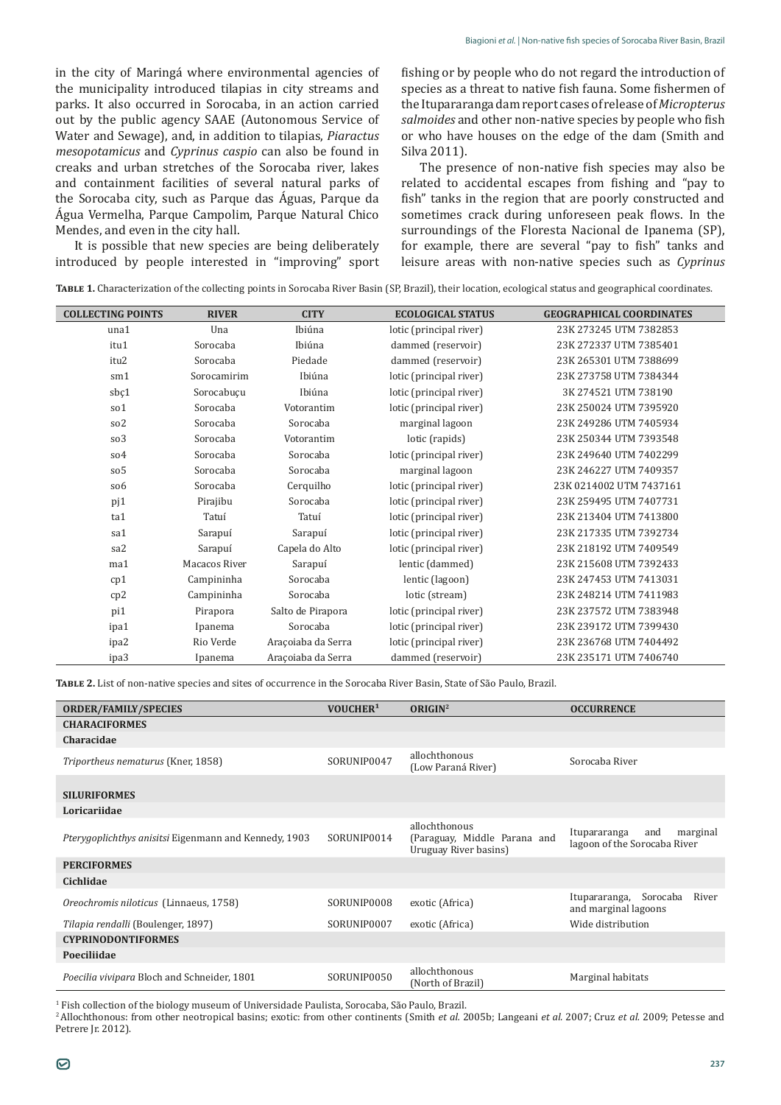in the city of Maringá where environmental agencies of the municipality introduced tilapias in city streams and parks. It also occurred in Sorocaba, in an action carried out by the public agency SAAE (Autonomous Service of Water and Sewage), and, in addition to tilapias, *Piaractus mesopotamicus* and *Cyprinus caspio* can also be found in creaks and urban stretches of the Sorocaba river, lakes and containment facilities of several natural parks of the Sorocaba city, such as Parque das Águas, Parque da Água Vermelha, Parque Campolim, Parque Natural Chico Mendes, and even in the city hall.

It is possible that new species are being deliberately introduced by people interested in "improving" sport fishing or by people who do not regard the introduction of species as a threat to native fish fauna. Some fishermen of the Itupararanga dam report cases of release of *Micropterus salmoides* and other non-native species by people who fish or who have houses on the edge of the dam (Smith and Silva 2011).

The presence of non-native fish species may also be related to accidental escapes from fishing and "pay to fish" tanks in the region that are poorly constructed and sometimes crack during unforeseen peak flows. In the surroundings of the Floresta Nacional de Ipanema (SP), for example, there are several "pay to fish" tanks and leisure areas with non-native species such as *Cyprinus* 

**Table 1.** Characterization of the collecting points in Sorocaba River Basin (SP, Brazil), their location, ecological status and geographical coordinates.

| <b>COLLECTING POINTS</b> | <b>RIVER</b>  | <b>CITY</b>        | <b>ECOLOGICAL STATUS</b> | <b>GEOGRAPHICAL COORDINATES</b> |
|--------------------------|---------------|--------------------|--------------------------|---------------------------------|
| una1                     | Una           | Ibiúna             | lotic (principal river)  | 23K 273245 UTM 7382853          |
| itu1                     | Sorocaba      | Ibiúna             | dammed (reservoir)       | 23K 272337 UTM 7385401          |
| itu2                     | Sorocaba      | Piedade            | dammed (reservoir)       | 23K 265301 UTM 7388699          |
| sm1                      | Sorocamirim   | Ibiúna             | lotic (principal river)  | 23K 273758 UTM 7384344          |
| sbç1                     | Sorocabuçu    | Ibiúna             | lotic (principal river)  | 3K 274521 UTM 738190            |
| so1                      | Sorocaba      | Votorantim         | lotic (principal river)  | 23K 250024 UTM 7395920          |
| so <sub>2</sub>          | Sorocaba      | Sorocaba           | marginal lagoon          | 23K 249286 UTM 7405934          |
| so3                      | Sorocaba      | Votorantim         | lotic (rapids)           | 23K 250344 UTM 7393548          |
| so4                      | Sorocaba      | Sorocaba           | lotic (principal river)  | 23K 249640 UTM 7402299          |
| so <sub>5</sub>          | Sorocaba      | Sorocaba           | marginal lagoon          | 23K 246227 UTM 7409357          |
| so <sub>6</sub>          | Sorocaba      | Cerquilho          | lotic (principal river)  | 23K 0214002 UTM 7437161         |
| pj1                      | Pirajibu      | Sorocaba           | lotic (principal river)  | 23K 259495 UTM 7407731          |
| ta1                      | Tatuí         | Tatuí              | lotic (principal river)  | 23K 213404 UTM 7413800          |
| sa1                      | Sarapuí       | Sarapuí            | lotic (principal river)  | 23K 217335 UTM 7392734          |
| sa2                      | Sarapuí       | Capela do Alto     | lotic (principal river)  | 23K 218192 UTM 7409549          |
| ma1                      | Macacos River | Sarapuí            | lentic (dammed)          | 23K 215608 UTM 7392433          |
| cp <sub>1</sub>          | Campininha    | Sorocaba           | lentic (lagoon)          | 23K 247453 UTM 7413031          |
| cp2                      | Campininha    | Sorocaba           | lotic (stream)           | 23K 248214 UTM 7411983          |
| pi1                      | Pirapora      | Salto de Pirapora  | lotic (principal river)  | 23K 237572 UTM 7383948          |
| ipa1                     | Ipanema       | Sorocaba           | lotic (principal river)  | 23K 239172 UTM 7399430          |
| ipa2                     | Rio Verde     | Araçoiaba da Serra | lotic (principal river)  | 23K 236768 UTM 7404492          |
| ipa3                     | Ipanema       | Araçoiaba da Serra | dammed (reservoir)       | 23K 235171 UTM 7406740          |

**Table 2.** List of non-native species and sites of occurrence in the Sorocaba River Basin, State of São Paulo, Brazil.

| <b>ORDER/FAMILY/SPECIES</b>                                  | VOUCHER <sup>1</sup> | ORIGIN <sup>2</sup>                                                    | <b>OCCURRENCE</b>                                               |
|--------------------------------------------------------------|----------------------|------------------------------------------------------------------------|-----------------------------------------------------------------|
| <b>CHARACIFORMES</b>                                         |                      |                                                                        |                                                                 |
| Characidae                                                   |                      |                                                                        |                                                                 |
| Triportheus nematurus (Kner, 1858)                           | SORUNIP0047          | allochthonous<br>(Low Paraná River)                                    | Sorocaba River                                                  |
| <b>SILURIFORMES</b>                                          |                      |                                                                        |                                                                 |
| Loricariidae                                                 |                      |                                                                        |                                                                 |
| <i>Pterygoplichthys anisitsi</i> Eigenmann and Kennedy, 1903 | SORUNIP0014          | allochthonous<br>(Paraguay, Middle Parana and<br>Uruguay River basins) | Itupararanga<br>marginal<br>and<br>lagoon of the Sorocaba River |
| <b>PERCIFORMES</b>                                           |                      |                                                                        |                                                                 |
| Cichlidae                                                    |                      |                                                                        |                                                                 |
| Oreochromis niloticus (Linnaeus, 1758)                       | SORUNIP0008          | exotic (Africa)                                                        | Sorocaba<br>River<br>Itupararanga,<br>and marginal lagoons      |
| Tilapia rendalli (Boulenger, 1897)                           | SORUNIP0007          | exotic (Africa)                                                        | Wide distribution                                               |
| <b>CYPRINODONTIFORMES</b>                                    |                      |                                                                        |                                                                 |
| Poeciliidae                                                  |                      |                                                                        |                                                                 |
| Poecilia vivipara Bloch and Schneider, 1801                  | SORUNIP0050          | allochthonous<br>(North of Brazil)                                     | Marginal habitats                                               |

<sup>1</sup> Fish collection of the biology museum of Universidade Paulista, Sorocaba, São Paulo, Brazil.<br>-

<sup>2</sup>Allochthonous: from other neotropical basins; exotic: from other continents (Smith *et al.* 2005b; Langeani *et al.* 2007; Cruz *et al.* 2009; Petesse and Petrere Jr. 2012).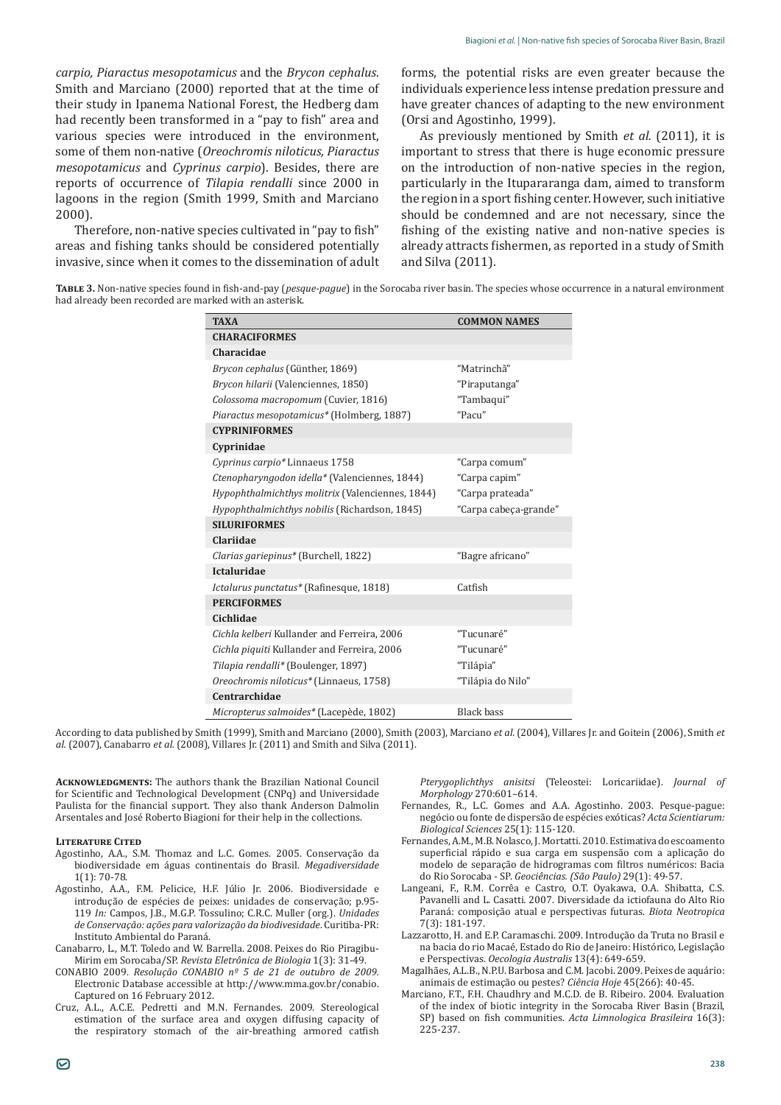*carpio, Piaractus mesopotamicus* and the *Brycon cephalus*. Smith and Marciano (2000) reported that at the time of their study in Ipanema National Forest, the Hedberg dam had recently been transformed in a "pay to fish" area and various species were introduced in the environment, some of them non-native (*Oreochromis niloticus, Piaractus mesopotamicus* and *Cyprinus carpio*). Besides, there are reports of occurrence of *Tilapia rendalli* since 2000 in lagoons in the region (Smith 1999, Smith and Marciano 2000).

Therefore, non-native species cultivated in "pay to fish" areas and fishing tanks should be considered potentially invasive, since when it comes to the dissemination of adult

forms, the potential risks are even greater because the individuals experience less intense predation pressure and have greater chances of adapting to the new environment (Orsi and Agostinho, 1999).

As previously mentioned by Smith *et al.* (2011), it is important to stress that there is huge economic pressure on the introduction of non-native species in the region, particularly in the Itupararanga dam, aimed to transform the region in a sport fishing center. However, such initiative should be condemned and are not necessary, since the fishing of the existing native and non-native species is already attracts fishermen, as reported in a study of Smith and Silva (2011).

**Table 3.** Non-native species found in fish-and-pay (*pesque-pague*) in the Sorocaba river basin. The species whose occurrence in a natural environment had already been recorded are marked with an asterisk.

| <b>TAXA</b>                                      | <b>COMMON NAMES</b>   |  |  |  |  |
|--------------------------------------------------|-----------------------|--|--|--|--|
| <b>CHARACIFORMES</b>                             |                       |  |  |  |  |
| Characidae                                       |                       |  |  |  |  |
| Brycon cephalus (Günther, 1869)                  | "Matrinchã"           |  |  |  |  |
| Brycon hilarii (Valenciennes, 1850)              | "Piraputanga"         |  |  |  |  |
| Colossoma macropomum (Cuvier, 1816)              | "Tambaqui"            |  |  |  |  |
| Piaractus mesopotamicus* (Holmberg, 1887)        | "Pacu"                |  |  |  |  |
| <b>CYPRINIFORMES</b>                             |                       |  |  |  |  |
| Cyprinidae                                       |                       |  |  |  |  |
| Cyprinus carpio* Linnaeus 1758                   | "Carpa comum"         |  |  |  |  |
| Ctenopharyngodon idella* (Valenciennes, 1844)    | "Carpa capim"         |  |  |  |  |
| Hypophthalmichthys molitrix (Valenciennes, 1844) | "Carpa prateada"      |  |  |  |  |
| Hypophthalmichthys nobilis (Richardson, 1845)    | "Carpa cabeça-grande" |  |  |  |  |
| <b>SILURIFORMES</b>                              |                       |  |  |  |  |
| Clariidae                                        |                       |  |  |  |  |
| Clarias gariepinus* (Burchell, 1822)             | "Bagre africano"      |  |  |  |  |
| <b>Ictaluridae</b>                               |                       |  |  |  |  |
| Ictalurus punctatus* (Rafinesque, 1818)          | Catfish               |  |  |  |  |
| <b>PERCIFORMES</b>                               |                       |  |  |  |  |
| Cichlidae                                        |                       |  |  |  |  |
| Cichla kelberi Kullander and Ferreira, 2006      | "Tucunaré"            |  |  |  |  |
| Cichla piquiti Kullander and Ferreira, 2006      | "Tucunaré"            |  |  |  |  |
| Tilapia rendalli* (Boulenger, 1897)              | "Tilápia"             |  |  |  |  |
| Oreochromis niloticus* (Linnaeus, 1758)          | "Tilápia do Nilo"     |  |  |  |  |
| Centrarchidae                                    |                       |  |  |  |  |
| Micropterus salmoides* (Lacepède, 1802)          | <b>Black bass</b>     |  |  |  |  |

According to data published by Smith (1999), Smith and Marciano (2000), Smith (2003), Marciano *et al.* (2004), Villares Jr. and Goitein (2006), Smith *et al.* (2007), Canabarro *et al.* (2008), Villares Jr. (2011) and Smith and Silva (2011).

**Acknowledgments:** The authors thank the Brazilian National Council for Scientific and Technological Development (CNPq) and Universidade Paulista for the financial support. They also thank Anderson Dalmolin Arsentales and José Roberto Biagioni for their help in the collections.

#### **Literature Cited**

- Agostinho, A.A., S.M. Thomaz and L.C. Gomes. 2005. Conservação da biodiversidade em águas continentais do Brasil. *Megadiversidade* 1(1): 70-78.
- Agostinho, A.A., F.M. Pelicice, H.F. Júlio Jr. 2006. Biodiversidade e introdução de espécies de peixes: unidades de conservação; p.95- 119 *In:* Campos, J.B., M.G.P. Tossulino; C.R.C. Muller (org.). *Unidades de Conservação: ações para valorização da biodivesidade*. Curitiba-PR: Instituto Ambiental do Paraná.
- Canabarro, L., M.T. Toledo and W. Barrella. 2008. Peixes do Rio Piragibu-Mirim em Sorocaba/SP. *Revista Eletrônica de Biologia* 1(3): 31-49.
- CONABIO 2009. *Resolução CONABIO nº 5 de 21 de outubro de 2009.*  Electronic Database accessible at http://www.mma.gov.br/conabio. Captured on 16 February 2012.
- Cruz, A.L., A.C.E. Pedretti and M.N. Fernandes. 2009. Stereological estimation of the surface area and oxygen diffusing capacity of the respiratory stomach of the air-breathing armored catfish

*Pterygoplichthys anisitsi* (Teleostei: Loricariidae). *Journal of Morphology* 270:601–614.

- Fernandes, R., L.C. Gomes and A.A. Agostinho. 2003. Pesque-pague: negócio ou fonte de dispersão de espécies exóticas? *Acta Scientiarum: Biological Sciences* 25(1): 115-120.
- Fernandes, A.M., M.B. Nolasco, J. Mortatti. 2010. Estimativa do escoamento superficial rápido e sua carga em suspensão com a aplicação do modelo de separação de hidrogramas com filtros numéricos: Bacia do Rio Sorocaba - SP. *Geociências. (São Paulo)* 29(1): 49-57.
- Langeani, F., R.M. Corrêa e Castro, O.T. Oyakawa, O.A. Shibatta, C.S. Pavanelli and L. Casatti*.* 2007. Diversidade da ictiofauna do Alto Rio Paraná: composição atual e perspectivas futuras. *Biota Neotropica* 7(3): 181-197.
- Lazzarotto, H. and E.P. Caramaschi. 2009. Introdução da Truta no Brasil e na bacia do rio Macaé, Estado do Rio de Janeiro: Histórico, Legislação e Perspectivas. *Oecologia Australis* 13(4): 649-659.
- Magalhães, A.L.B., N.P.U. Barbosa and C.M. Jacobi. 2009. Peixes de aquário: animais de estimação ou pestes? *Ciência Hoje* 45(266): 40-45.
- Marciano, F.T., F.H. Chaudhry and M.C.D. de B. Ribeiro. 2004. Evaluation of the index of biotic integrity in the Sorocaba River Basin (Brazil, SP) based on fish communities. *Acta Limnologica Brasileira* 16(3): 225-237.